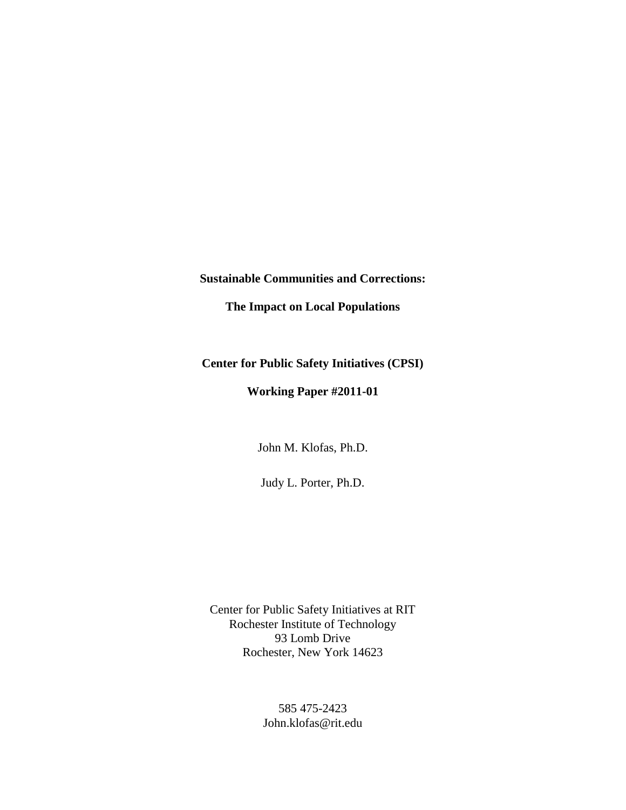**Sustainable Communities and Corrections:** 

**The Impact on Local Populations** 

**Center for Public Safety Initiatives (CPSI)**

**Working Paper #2011-01**

John M. Klofas, Ph.D.

Judy L. Porter, Ph.D.

Center for Public Safety Initiatives at RIT Rochester Institute of Technology 93 Lomb Drive Rochester, New York 14623

> 585 475-2423 John.klofas@rit.edu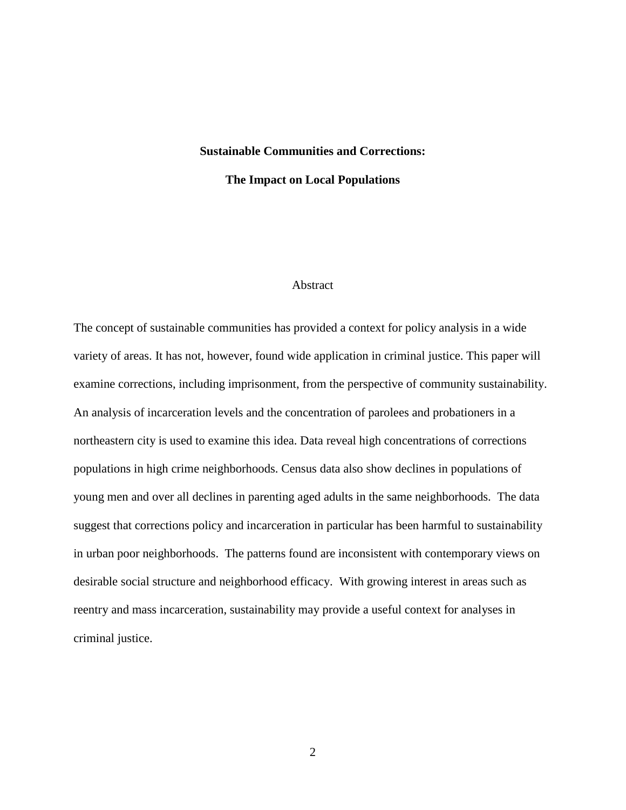# **Sustainable Communities and Corrections:**

**The Impact on Local Populations** 

# Abstract

The concept of sustainable communities has provided a context for policy analysis in a wide variety of areas. It has not, however, found wide application in criminal justice. This paper will examine corrections, including imprisonment, from the perspective of community sustainability. An analysis of incarceration levels and the concentration of parolees and probationers in a northeastern city is used to examine this idea. Data reveal high concentrations of corrections populations in high crime neighborhoods. Census data also show declines in populations of young men and over all declines in parenting aged adults in the same neighborhoods. The data suggest that corrections policy and incarceration in particular has been harmful to sustainability in urban poor neighborhoods. The patterns found are inconsistent with contemporary views on desirable social structure and neighborhood efficacy. With growing interest in areas such as reentry and mass incarceration, sustainability may provide a useful context for analyses in criminal justice.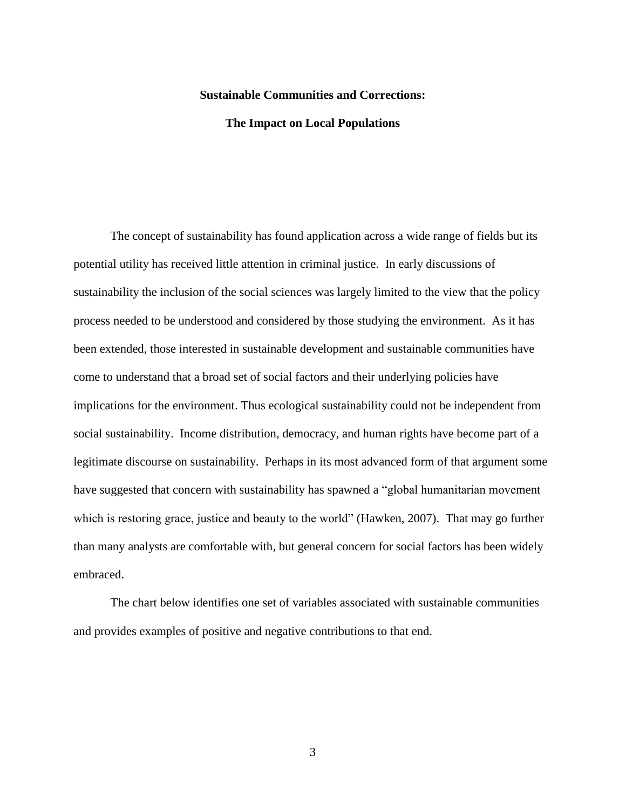#### **Sustainable Communities and Corrections:**

# **The Impact on Local Populations**

The concept of sustainability has found application across a wide range of fields but its potential utility has received little attention in criminal justice. In early discussions of sustainability the inclusion of the social sciences was largely limited to the view that the policy process needed to be understood and considered by those studying the environment. As it has been extended, those interested in sustainable development and sustainable communities have come to understand that a broad set of social factors and their underlying policies have implications for the environment. Thus ecological sustainability could not be independent from social sustainability. Income distribution, democracy, and human rights have become part of a legitimate discourse on sustainability. Perhaps in its most advanced form of that argument some have suggested that concern with sustainability has spawned a "global humanitarian movement which is restoring grace, justice and beauty to the world" (Hawken, 2007). That may go further than many analysts are comfortable with, but general concern for social factors has been widely embraced.

The chart below identifies one set of variables associated with sustainable communities and provides examples of positive and negative contributions to that end.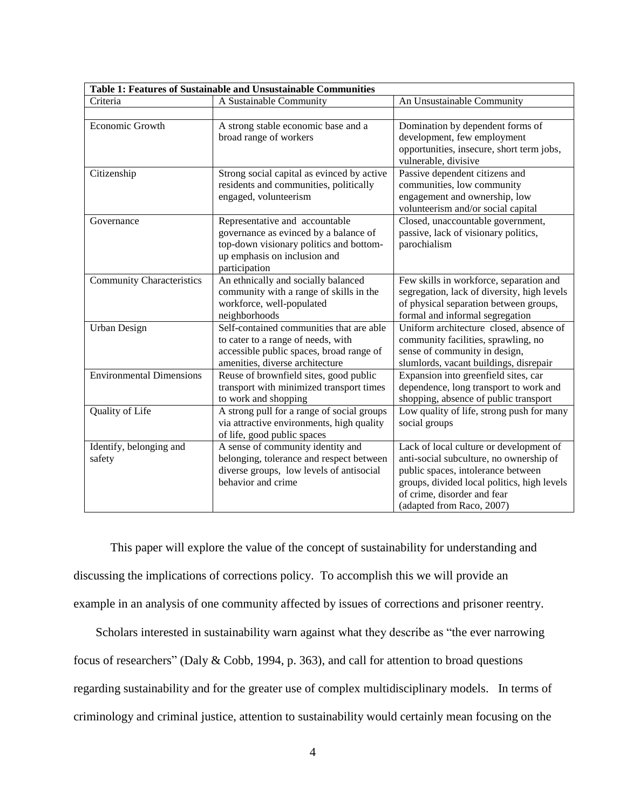| Table 1: Features of Sustainable and Unsustainable Communities |                                                                                                                                                                     |                                                                                                                                                                                                                                     |  |  |  |  |  |  |
|----------------------------------------------------------------|---------------------------------------------------------------------------------------------------------------------------------------------------------------------|-------------------------------------------------------------------------------------------------------------------------------------------------------------------------------------------------------------------------------------|--|--|--|--|--|--|
| Criteria                                                       | A Sustainable Community                                                                                                                                             | An Unsustainable Community                                                                                                                                                                                                          |  |  |  |  |  |  |
|                                                                |                                                                                                                                                                     |                                                                                                                                                                                                                                     |  |  |  |  |  |  |
| Economic Growth                                                | A strong stable economic base and a<br>broad range of workers                                                                                                       | Domination by dependent forms of<br>development, few employment<br>opportunities, insecure, short term jobs,<br>vulnerable, divisive                                                                                                |  |  |  |  |  |  |
| Citizenship                                                    | Strong social capital as evinced by active<br>residents and communities, politically<br>engaged, volunteerism                                                       | Passive dependent citizens and<br>communities, low community<br>engagement and ownership, low<br>volunteerism and/or social capital                                                                                                 |  |  |  |  |  |  |
| Governance                                                     | Representative and accountable<br>governance as evinced by a balance of<br>top-down visionary politics and bottom-<br>up emphasis on inclusion and<br>participation | Closed, unaccountable government,<br>passive, lack of visionary politics,<br>parochialism                                                                                                                                           |  |  |  |  |  |  |
| <b>Community Characteristics</b>                               | An ethnically and socially balanced<br>community with a range of skills in the<br>workforce, well-populated<br>neighborhoods                                        | Few skills in workforce, separation and<br>segregation, lack of diversity, high levels<br>of physical separation between groups,<br>formal and informal segregation                                                                 |  |  |  |  |  |  |
| <b>Urban Design</b>                                            | Self-contained communities that are able<br>to cater to a range of needs, with<br>accessible public spaces, broad range of<br>amenities, diverse architecture       | Uniform architecture closed, absence of<br>community facilities, sprawling, no<br>sense of community in design,<br>slumlords, vacant buildings, disrepair                                                                           |  |  |  |  |  |  |
| <b>Environmental Dimensions</b>                                | Reuse of brownfield sites, good public<br>transport with minimized transport times<br>to work and shopping                                                          | Expansion into greenfield sites, car<br>dependence, long transport to work and<br>shopping, absence of public transport                                                                                                             |  |  |  |  |  |  |
| Quality of Life                                                | A strong pull for a range of social groups<br>via attractive environments, high quality<br>of life, good public spaces                                              | Low quality of life, strong push for many<br>social groups                                                                                                                                                                          |  |  |  |  |  |  |
| Identify, belonging and<br>safety                              | A sense of community identity and<br>belonging, tolerance and respect between<br>diverse groups, low levels of antisocial<br>behavior and crime                     | Lack of local culture or development of<br>anti-social subculture, no ownership of<br>public spaces, intolerance between<br>groups, divided local politics, high levels<br>of crime, disorder and fear<br>(adapted from Raco, 2007) |  |  |  |  |  |  |

This paper will explore the value of the concept of sustainability for understanding and discussing the implications of corrections policy. To accomplish this we will provide an example in an analysis of one community affected by issues of corrections and prisoner reentry.

Scholars interested in sustainability warn against what they describe as "the ever narrowing focus of researchers" (Daly & Cobb, 1994, p. 363), and call for attention to broad questions regarding sustainability and for the greater use of complex multidisciplinary models. In terms of criminology and criminal justice, attention to sustainability would certainly mean focusing on the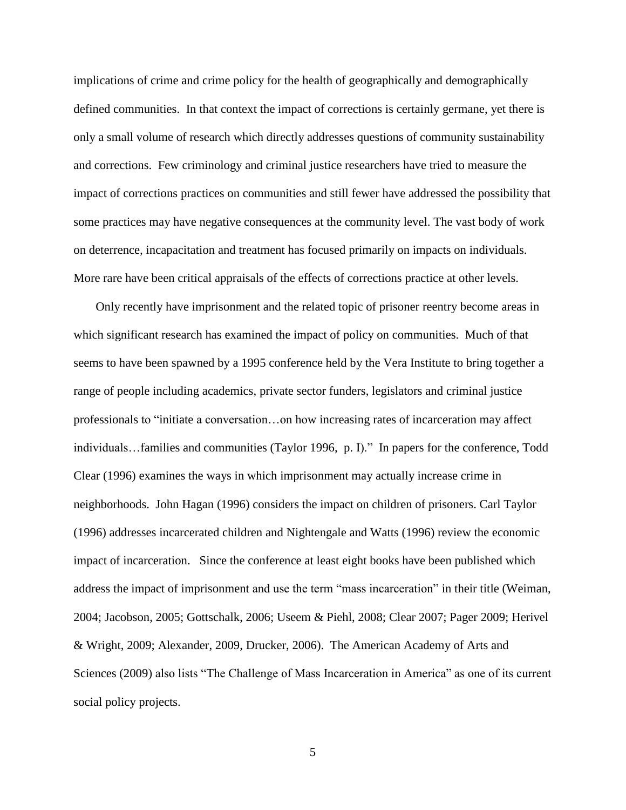implications of crime and crime policy for the health of geographically and demographically defined communities. In that context the impact of corrections is certainly germane, yet there is only a small volume of research which directly addresses questions of community sustainability and corrections. Few criminology and criminal justice researchers have tried to measure the impact of corrections practices on communities and still fewer have addressed the possibility that some practices may have negative consequences at the community level. The vast body of work on deterrence, incapacitation and treatment has focused primarily on impacts on individuals. More rare have been critical appraisals of the effects of corrections practice at other levels.

Only recently have imprisonment and the related topic of prisoner reentry become areas in which significant research has examined the impact of policy on communities. Much of that seems to have been spawned by a 1995 conference held by the Vera Institute to bring together a range of people including academics, private sector funders, legislators and criminal justice professionals to "initiate a conversation…on how increasing rates of incarceration may affect individuals…families and communities (Taylor 1996, p. I)." In papers for the conference, Todd Clear (1996) examines the ways in which imprisonment may actually increase crime in neighborhoods. John Hagan (1996) considers the impact on children of prisoners. Carl Taylor (1996) addresses incarcerated children and Nightengale and Watts (1996) review the economic impact of incarceration. Since the conference at least eight books have been published which address the impact of imprisonment and use the term "mass incarceration" in their title (Weiman, 2004; Jacobson, 2005; Gottschalk, 2006; Useem & Piehl, 2008; Clear 2007; Pager 2009; Herivel & Wright, 2009; Alexander, 2009, Drucker, 2006). The American Academy of Arts and Sciences (2009) also lists "The Challenge of Mass Incarceration in America" as one of its current social policy projects.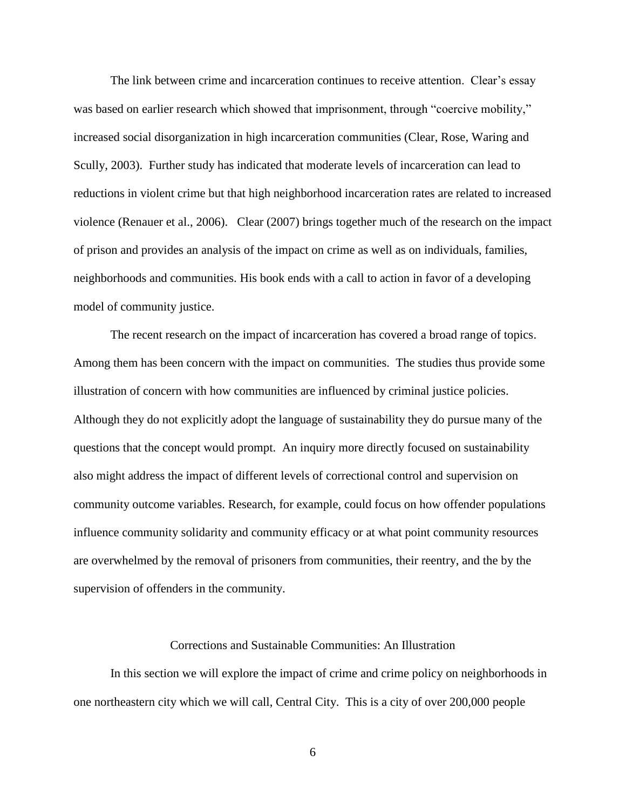The link between crime and incarceration continues to receive attention. Clear's essay was based on earlier research which showed that imprisonment, through "coercive mobility," increased social disorganization in high incarceration communities (Clear, Rose, Waring and Scully, 2003). Further study has indicated that moderate levels of incarceration can lead to reductions in violent crime but that high neighborhood incarceration rates are related to increased violence (Renauer et al., 2006). Clear (2007) brings together much of the research on the impact of prison and provides an analysis of the impact on crime as well as on individuals, families, neighborhoods and communities. His book ends with a call to action in favor of a developing model of community justice.

The recent research on the impact of incarceration has covered a broad range of topics. Among them has been concern with the impact on communities. The studies thus provide some illustration of concern with how communities are influenced by criminal justice policies. Although they do not explicitly adopt the language of sustainability they do pursue many of the questions that the concept would prompt. An inquiry more directly focused on sustainability also might address the impact of different levels of correctional control and supervision on community outcome variables. Research, for example, could focus on how offender populations influence community solidarity and community efficacy or at what point community resources are overwhelmed by the removal of prisoners from communities, their reentry, and the by the supervision of offenders in the community.

#### Corrections and Sustainable Communities: An Illustration

In this section we will explore the impact of crime and crime policy on neighborhoods in one northeastern city which we will call, Central City. This is a city of over 200,000 people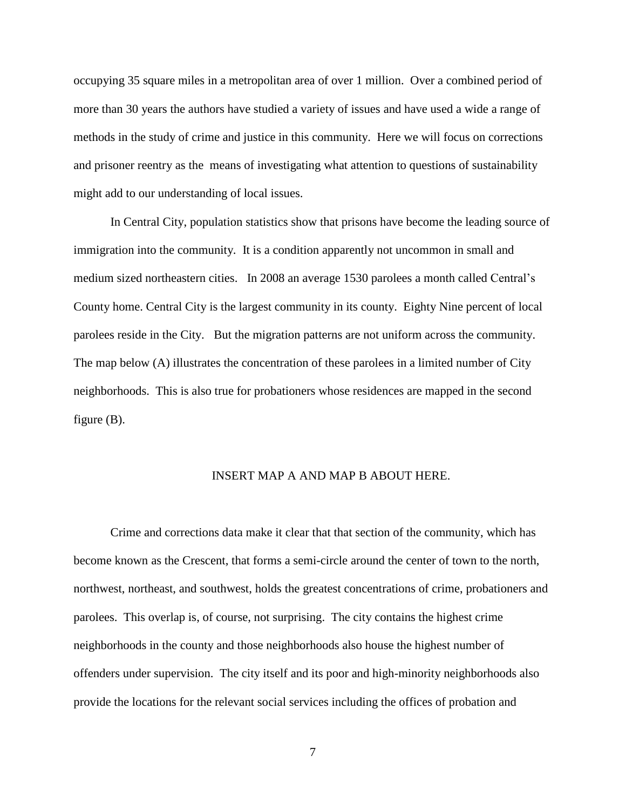occupying 35 square miles in a metropolitan area of over 1 million. Over a combined period of more than 30 years the authors have studied a variety of issues and have used a wide a range of methods in the study of crime and justice in this community. Here we will focus on corrections and prisoner reentry as the means of investigating what attention to questions of sustainability might add to our understanding of local issues.

In Central City, population statistics show that prisons have become the leading source of immigration into the community. It is a condition apparently not uncommon in small and medium sized northeastern cities. In 2008 an average 1530 parolees a month called Central's County home. Central City is the largest community in its county. Eighty Nine percent of local parolees reside in the City. But the migration patterns are not uniform across the community. The map below (A) illustrates the concentration of these parolees in a limited number of City neighborhoods. This is also true for probationers whose residences are mapped in the second figure (B).

# INSERT MAP A AND MAP B ABOUT HERE.

Crime and corrections data make it clear that that section of the community, which has become known as the Crescent, that forms a semi-circle around the center of town to the north, northwest, northeast, and southwest, holds the greatest concentrations of crime, probationers and parolees. This overlap is, of course, not surprising. The city contains the highest crime neighborhoods in the county and those neighborhoods also house the highest number of offenders under supervision. The city itself and its poor and high-minority neighborhoods also provide the locations for the relevant social services including the offices of probation and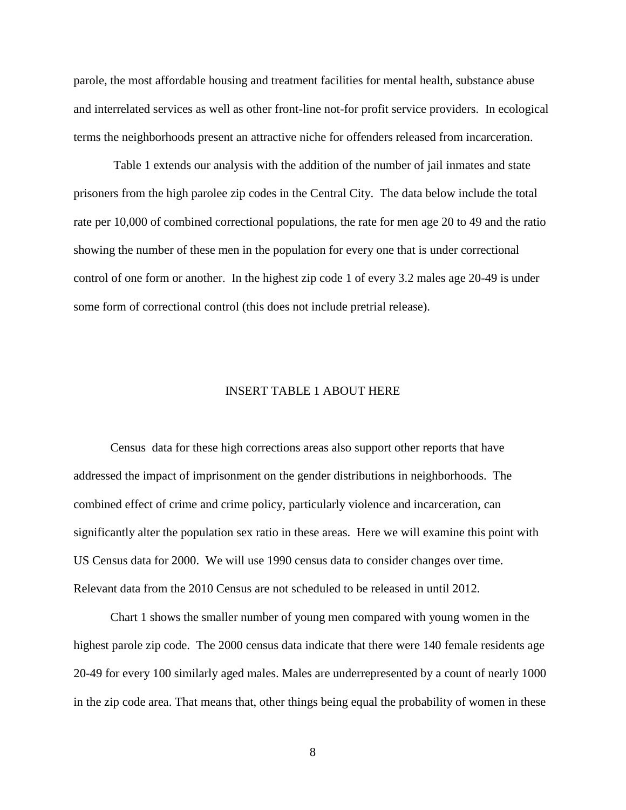parole, the most affordable housing and treatment facilities for mental health, substance abuse and interrelated services as well as other front-line not-for profit service providers. In ecological terms the neighborhoods present an attractive niche for offenders released from incarceration.

Table 1 extends our analysis with the addition of the number of jail inmates and state prisoners from the high parolee zip codes in the Central City. The data below include the total rate per 10,000 of combined correctional populations, the rate for men age 20 to 49 and the ratio showing the number of these men in the population for every one that is under correctional control of one form or another. In the highest zip code 1 of every 3.2 males age 20-49 is under some form of correctional control (this does not include pretrial release).

# INSERT TABLE 1 ABOUT HERE

Census data for these high corrections areas also support other reports that have addressed the impact of imprisonment on the gender distributions in neighborhoods. The combined effect of crime and crime policy, particularly violence and incarceration, can significantly alter the population sex ratio in these areas. Here we will examine this point with US Census data for 2000. We will use 1990 census data to consider changes over time. Relevant data from the 2010 Census are not scheduled to be released in until 2012.

Chart 1 shows the smaller number of young men compared with young women in the highest parole zip code. The 2000 census data indicate that there were 140 female residents age 20-49 for every 100 similarly aged males. Males are underrepresented by a count of nearly 1000 in the zip code area. That means that, other things being equal the probability of women in these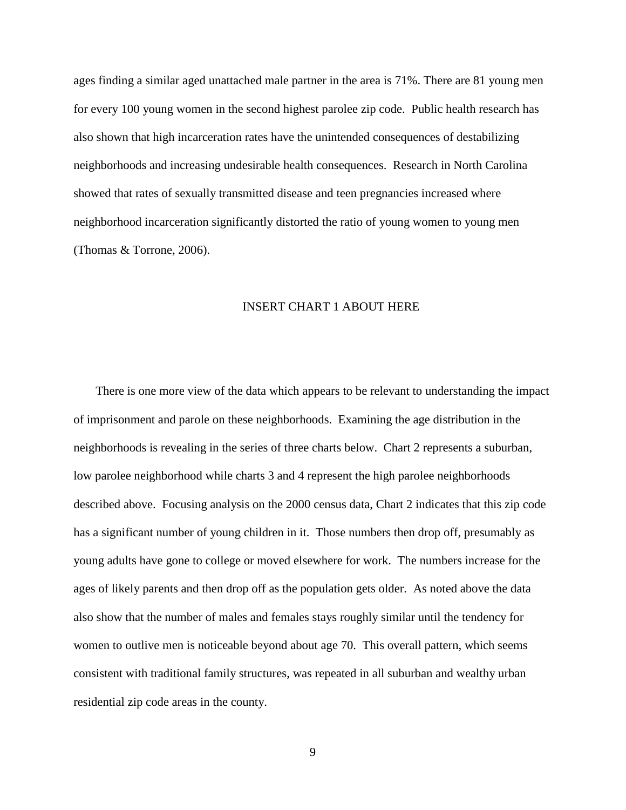ages finding a similar aged unattached male partner in the area is 71%. There are 81 young men for every 100 young women in the second highest parolee zip code. Public health research has also shown that high incarceration rates have the unintended consequences of destabilizing neighborhoods and increasing undesirable health consequences. Research in North Carolina showed that rates of sexually transmitted disease and teen pregnancies increased where neighborhood incarceration significantly distorted the ratio of young women to young men (Thomas & Torrone, 2006).

# INSERT CHART 1 ABOUT HERE

There is one more view of the data which appears to be relevant to understanding the impact of imprisonment and parole on these neighborhoods. Examining the age distribution in the neighborhoods is revealing in the series of three charts below. Chart 2 represents a suburban, low parolee neighborhood while charts 3 and 4 represent the high parolee neighborhoods described above. Focusing analysis on the 2000 census data, Chart 2 indicates that this zip code has a significant number of young children in it. Those numbers then drop off, presumably as young adults have gone to college or moved elsewhere for work. The numbers increase for the ages of likely parents and then drop off as the population gets older. As noted above the data also show that the number of males and females stays roughly similar until the tendency for women to outlive men is noticeable beyond about age 70. This overall pattern, which seems consistent with traditional family structures, was repeated in all suburban and wealthy urban residential zip code areas in the county.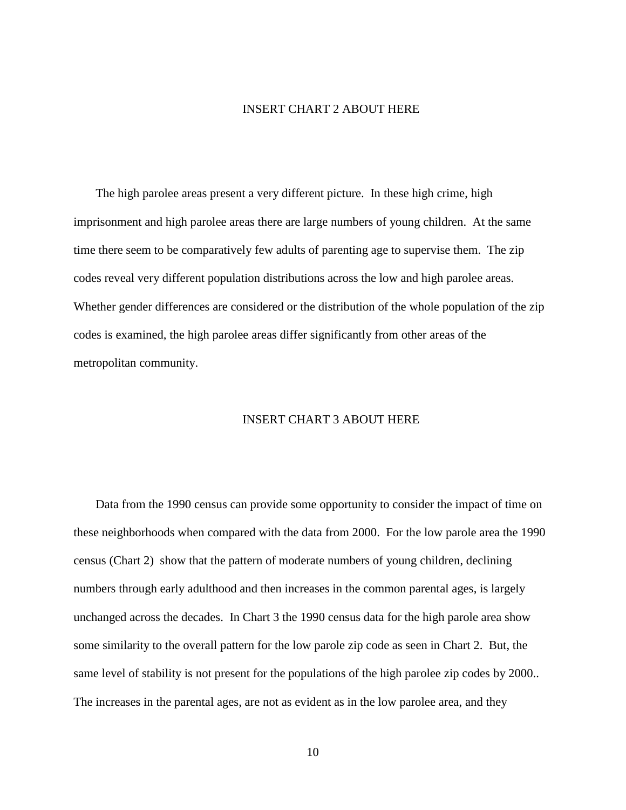## INSERT CHART 2 ABOUT HERE

The high parolee areas present a very different picture. In these high crime, high imprisonment and high parolee areas there are large numbers of young children. At the same time there seem to be comparatively few adults of parenting age to supervise them. The zip codes reveal very different population distributions across the low and high parolee areas. Whether gender differences are considered or the distribution of the whole population of the zip codes is examined, the high parolee areas differ significantly from other areas of the metropolitan community.

# INSERT CHART 3 ABOUT HERE

Data from the 1990 census can provide some opportunity to consider the impact of time on these neighborhoods when compared with the data from 2000. For the low parole area the 1990 census (Chart 2) show that the pattern of moderate numbers of young children, declining numbers through early adulthood and then increases in the common parental ages, is largely unchanged across the decades. In Chart 3 the 1990 census data for the high parole area show some similarity to the overall pattern for the low parole zip code as seen in Chart 2. But, the same level of stability is not present for the populations of the high parolee zip codes by 2000.. The increases in the parental ages, are not as evident as in the low parolee area, and they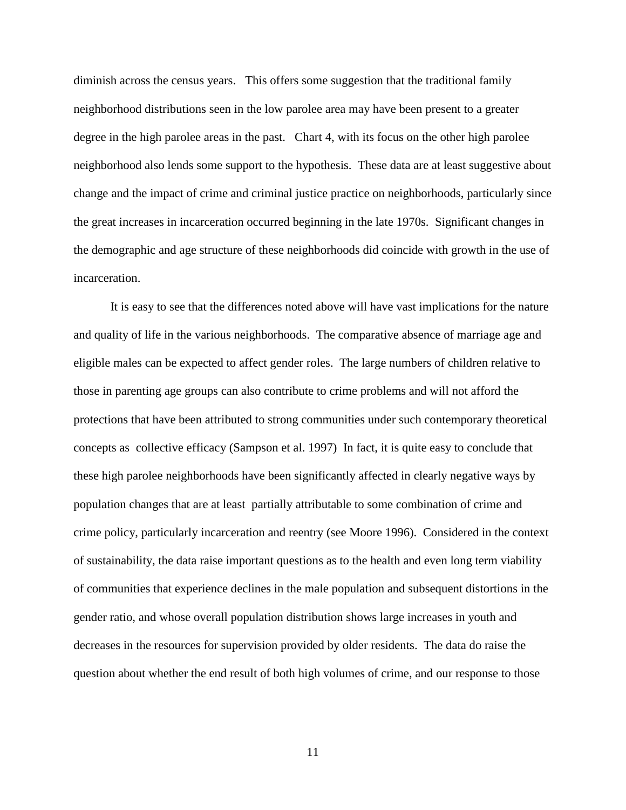diminish across the census years. This offers some suggestion that the traditional family neighborhood distributions seen in the low parolee area may have been present to a greater degree in the high parolee areas in the past. Chart 4, with its focus on the other high parolee neighborhood also lends some support to the hypothesis. These data are at least suggestive about change and the impact of crime and criminal justice practice on neighborhoods, particularly since the great increases in incarceration occurred beginning in the late 1970s. Significant changes in the demographic and age structure of these neighborhoods did coincide with growth in the use of incarceration.

It is easy to see that the differences noted above will have vast implications for the nature and quality of life in the various neighborhoods. The comparative absence of marriage age and eligible males can be expected to affect gender roles. The large numbers of children relative to those in parenting age groups can also contribute to crime problems and will not afford the protections that have been attributed to strong communities under such contemporary theoretical concepts as collective efficacy (Sampson et al. 1997) In fact, it is quite easy to conclude that these high parolee neighborhoods have been significantly affected in clearly negative ways by population changes that are at least partially attributable to some combination of crime and crime policy, particularly incarceration and reentry (see Moore 1996). Considered in the context of sustainability, the data raise important questions as to the health and even long term viability of communities that experience declines in the male population and subsequent distortions in the gender ratio, and whose overall population distribution shows large increases in youth and decreases in the resources for supervision provided by older residents. The data do raise the question about whether the end result of both high volumes of crime, and our response to those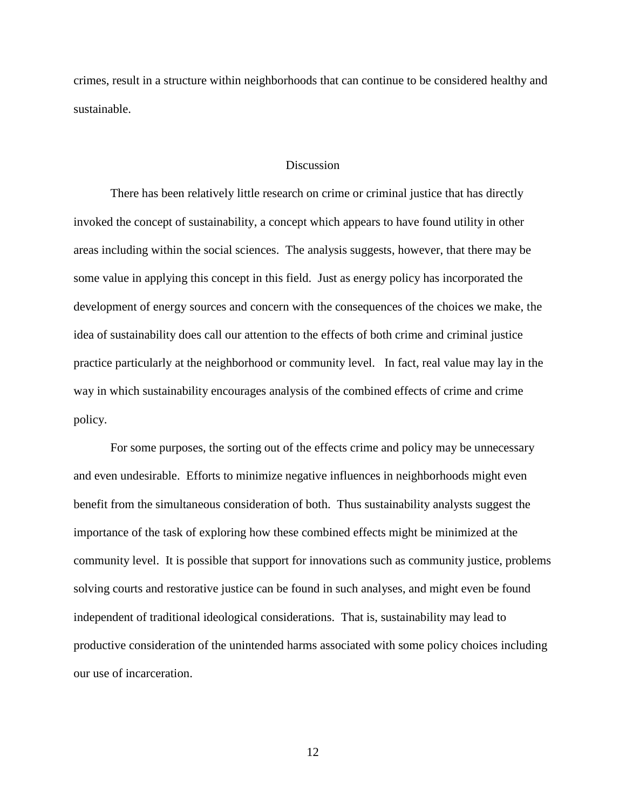crimes, result in a structure within neighborhoods that can continue to be considered healthy and sustainable.

#### **Discussion**

There has been relatively little research on crime or criminal justice that has directly invoked the concept of sustainability, a concept which appears to have found utility in other areas including within the social sciences. The analysis suggests, however, that there may be some value in applying this concept in this field. Just as energy policy has incorporated the development of energy sources and concern with the consequences of the choices we make, the idea of sustainability does call our attention to the effects of both crime and criminal justice practice particularly at the neighborhood or community level. In fact, real value may lay in the way in which sustainability encourages analysis of the combined effects of crime and crime policy.

For some purposes, the sorting out of the effects crime and policy may be unnecessary and even undesirable. Efforts to minimize negative influences in neighborhoods might even benefit from the simultaneous consideration of both. Thus sustainability analysts suggest the importance of the task of exploring how these combined effects might be minimized at the community level. It is possible that support for innovations such as community justice, problems solving courts and restorative justice can be found in such analyses, and might even be found independent of traditional ideological considerations. That is, sustainability may lead to productive consideration of the unintended harms associated with some policy choices including our use of incarceration.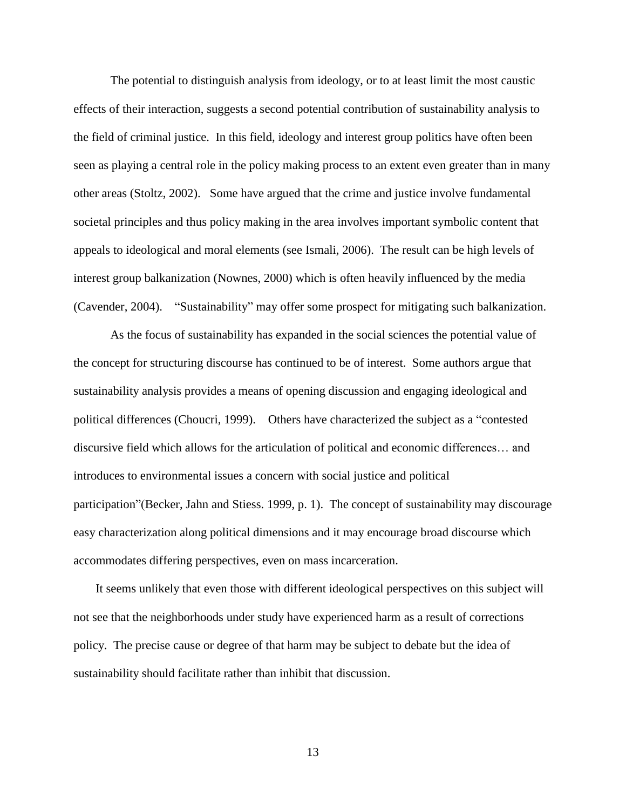The potential to distinguish analysis from ideology, or to at least limit the most caustic effects of their interaction, suggests a second potential contribution of sustainability analysis to the field of criminal justice. In this field, ideology and interest group politics have often been seen as playing a central role in the policy making process to an extent even greater than in many other areas (Stoltz, 2002). Some have argued that the crime and justice involve fundamental societal principles and thus policy making in the area involves important symbolic content that appeals to ideological and moral elements (see Ismali, 2006). The result can be high levels of interest group balkanization (Nownes, 2000) which is often heavily influenced by the media (Cavender, 2004). "Sustainability" may offer some prospect for mitigating such balkanization.

As the focus of sustainability has expanded in the social sciences the potential value of the concept for structuring discourse has continued to be of interest. Some authors argue that sustainability analysis provides a means of opening discussion and engaging ideological and political differences (Choucri, 1999). Others have characterized the subject as a "contested discursive field which allows for the articulation of political and economic differences… and introduces to environmental issues a concern with social justice and political participation"(Becker, Jahn and Stiess. 1999, p. 1). The concept of sustainability may discourage easy characterization along political dimensions and it may encourage broad discourse which accommodates differing perspectives, even on mass incarceration.

It seems unlikely that even those with different ideological perspectives on this subject will not see that the neighborhoods under study have experienced harm as a result of corrections policy. The precise cause or degree of that harm may be subject to debate but the idea of sustainability should facilitate rather than inhibit that discussion.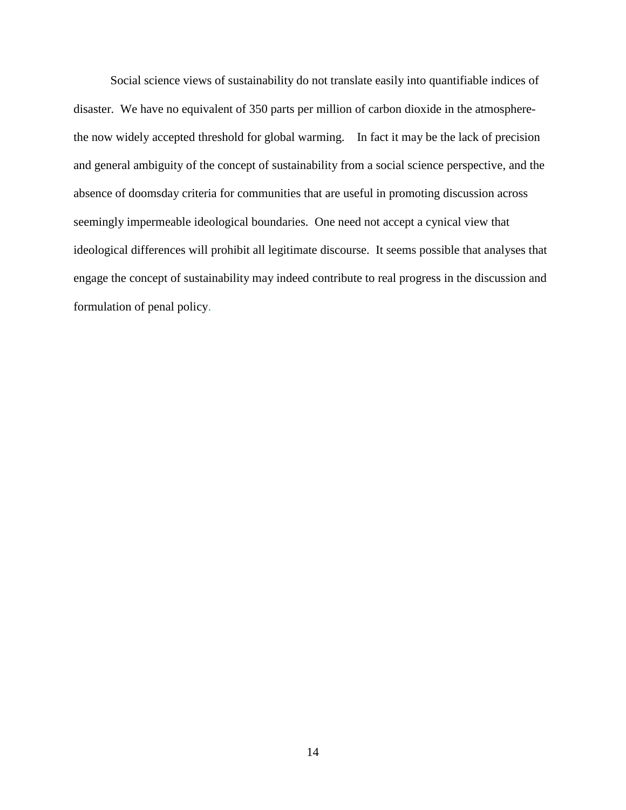Social science views of sustainability do not translate easily into quantifiable indices of disaster. We have no equivalent of 350 parts per million of carbon dioxide in the atmospherethe now widely accepted threshold for global warming. In fact it may be the lack of precision and general ambiguity of the concept of sustainability from a social science perspective, and the absence of doomsday criteria for communities that are useful in promoting discussion across seemingly impermeable ideological boundaries. One need not accept a cynical view that ideological differences will prohibit all legitimate discourse. It seems possible that analyses that engage the concept of sustainability may indeed contribute to real progress in the discussion and formulation of penal policy.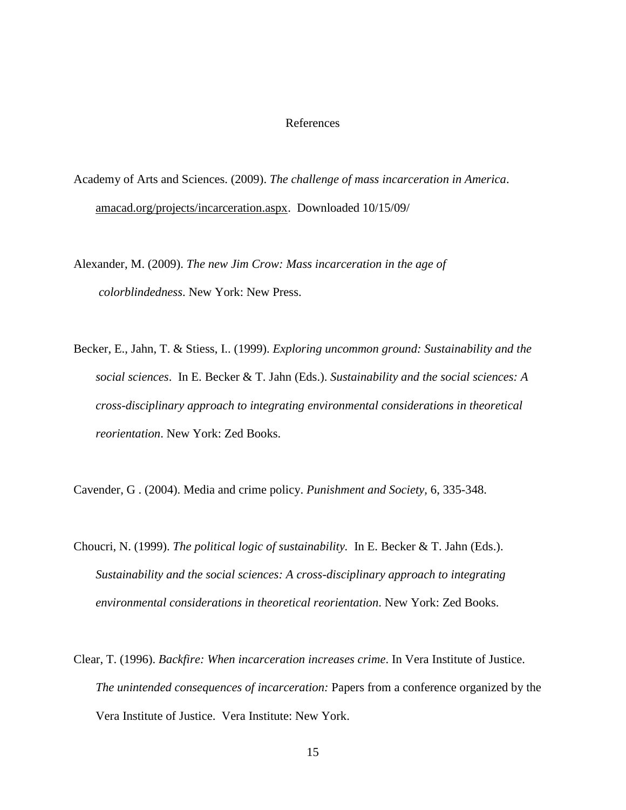# References

- Academy of Arts and Sciences. (2009). *The challenge of mass incarceration in America*. [amacad.org/projects/incarceration.aspx.](http://www.amacad.org/projects/incarceration.aspx) Downloaded 10/15/09/
- Alexander, M. (2009). *The new Jim Crow: Mass incarceration in the age of colorblindedness*. New York: New Press.
- Becker, E., Jahn, T. & Stiess, I.. (1999). *Exploring uncommon ground: Sustainability and the social sciences*. In E. Becker & T. Jahn (Eds.). *Sustainability and the social sciences: A cross-disciplinary approach to integrating environmental considerations in theoretical reorientation*. New York: Zed Books.
- Cavender, G . (2004). Media and crime policy. *Punishment and Society,* 6, 335-348.
- Choucri, N. (1999). *The political logic of sustainability.* In E. Becker & T. Jahn (Eds.). *Sustainability and the social sciences: A cross-disciplinary approach to integrating environmental considerations in theoretical reorientation*. New York: Zed Books.
- Clear, T. (1996). *Backfire: When incarceration increases crime*. In Vera Institute of Justice. *The unintended consequences of incarceration:* Papers from a conference organized by the Vera Institute of Justice. Vera Institute: New York.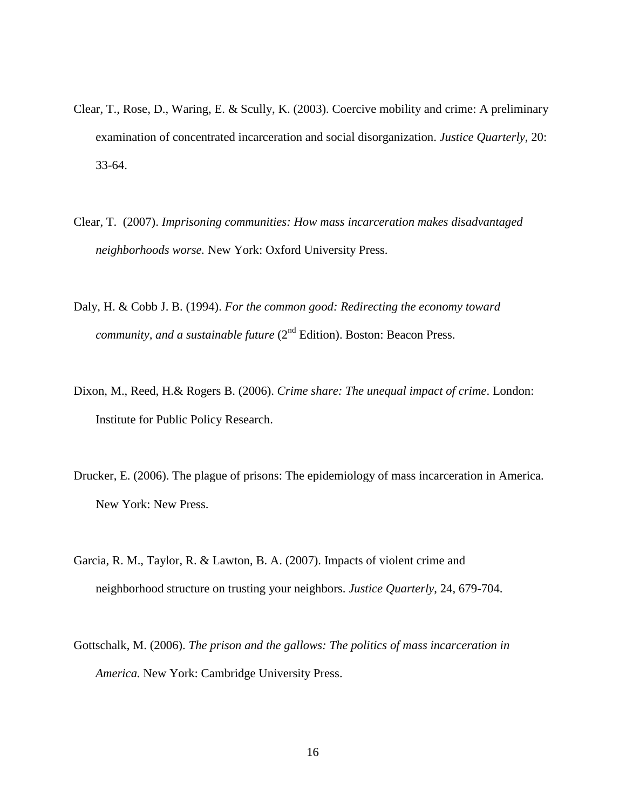- Clear, T., Rose, D., Waring, E. & Scully, K. (2003). Coercive mobility and crime: A preliminary examination of concentrated incarceration and social disorganization. *Justice Quarterly*, 20: 33-64.
- Clear, T. (2007). *Imprisoning communities: How mass incarceration makes disadvantaged neighborhoods worse.* New York: Oxford University Press.
- Daly, H. & Cobb J. B. (1994). *For the common good: Redirecting the economy toward community, and a sustainable future* (2<sup>nd</sup> Edition). Boston: Beacon Press.
- Dixon, M., Reed, H.& Rogers B. (2006). *Crime share: The unequal impact of crime*. London: Institute for Public Policy Research.
- Drucker, E. (2006). The plague of prisons: The epidemiology of mass incarceration in America. New York: New Press.
- Garcia, R. M., Taylor, R. & Lawton, B. A. (2007). Impacts of violent crime and neighborhood structure on trusting your neighbors. *Justice Quarterly*, 24, 679-704.
- Gottschalk, M. (2006). *The prison and the gallows: The politics of mass incarceration in America.* New York: Cambridge University Press.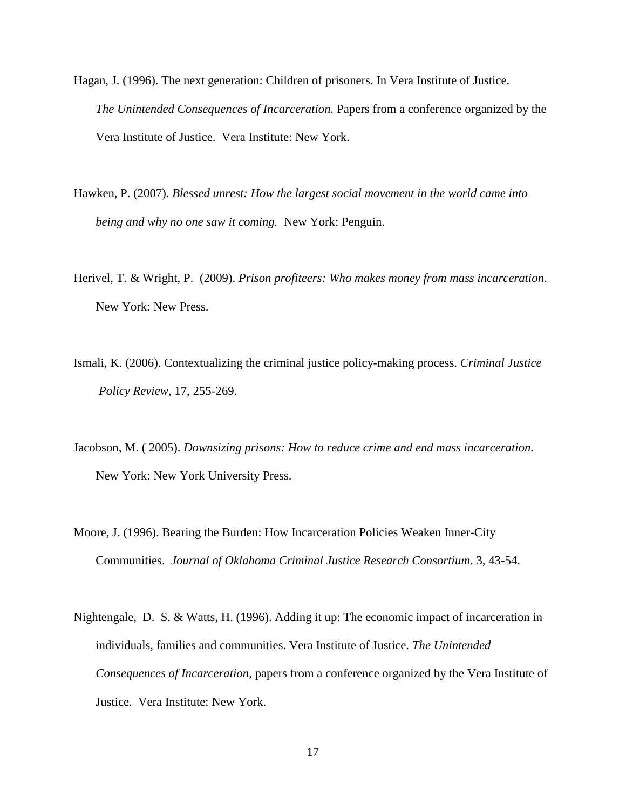- Hagan, J. (1996). The next generation: Children of prisoners. In Vera Institute of Justice. *The Unintended Consequences of Incarceration.* Papers from a conference organized by the Vera Institute of Justice. Vera Institute: New York.
- Hawken, P. (2007). *Blessed unrest: How the largest social movement in the world came into being and why no one saw it coming.* New York: Penguin.
- Herivel, T. & Wright, P. (2009). *Prison profiteers: Who makes money from mass incarceration*. New York: New Press.
- Ismali, K. (2006). Contextualizing the criminal justice policy-making process. *Criminal Justice Policy Review,* 17, 255-269.
- Jacobson, M. ( 2005). *Downsizing prisons: How to reduce crime and end mass incarceration.* New York: New York University Press.
- Moore, J. (1996). Bearing the Burden: How Incarceration Policies Weaken Inner-City Communities. *Journal of Oklahoma Criminal Justice Research Consortium*. 3, 43-54.
- Nightengale, D. S. & Watts, H. (1996). Adding it up: The economic impact of incarceration in individuals, families and communities. Vera Institute of Justice. *The Unintended Consequences of Incarceration*, papers from a conference organized by the Vera Institute of Justice. Vera Institute: New York.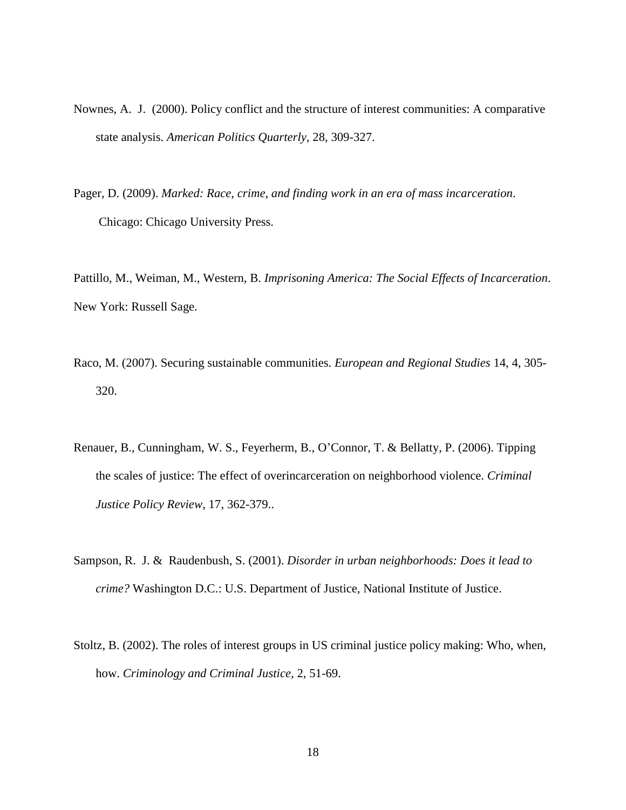- Nownes, A. J. (2000). Policy conflict and the structure of interest communities: A comparative state analysis. *American Politics Quarterly,* 28, 309-327.
- Pager, D. (2009). *Marked: Race, crime, and finding work in an era of mass incarceration*. Chicago: Chicago University Press.

Pattillo, M., Weiman, M., Western, B. *Imprisoning America: The Social Effects of Incarceration*. New York: Russell Sage.

- Raco, M. (2007). Securing sustainable communities. *European and Regional Studies* 14, 4, 305- 320.
- Renauer, B., Cunningham, W. S., Feyerherm, B., O'Connor, T. & Bellatty, P. (2006). Tipping the scales of justice: The effect of overincarceration on neighborhood violence. *Criminal Justice Policy Review*, 17, 362-379..
- Sampson, R. J. & Raudenbush, S. (2001). *Disorder in urban neighborhoods: Does it lead to crime?* Washington D.C.: U.S. Department of Justice, National Institute of Justice.
- Stoltz, B. (2002). The roles of interest groups in US criminal justice policy making: Who, when, how. *Criminology and Criminal Justice,* 2, 51-69.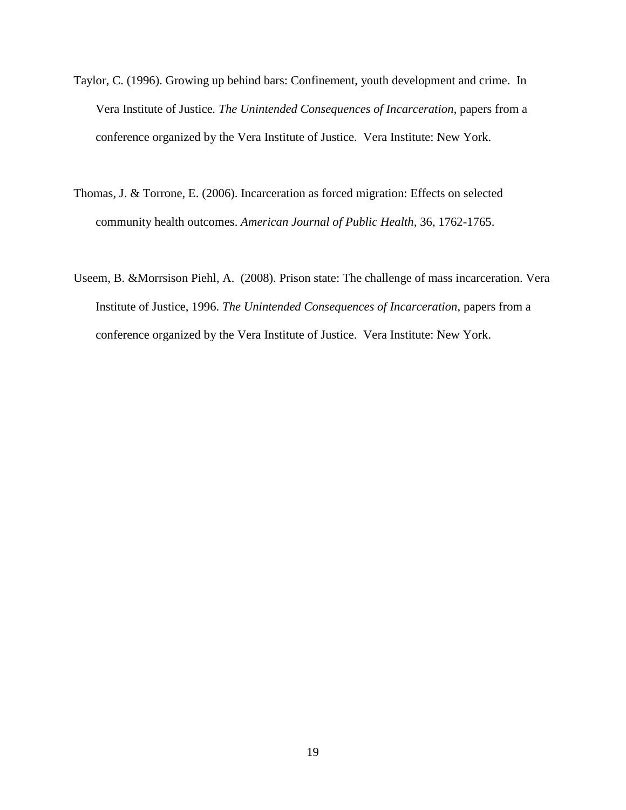- Taylor, C. (1996). Growing up behind bars: Confinement, youth development and crime. In Vera Institute of Justice*. The Unintended Consequences of Incarceration*, papers from a conference organized by the Vera Institute of Justice. Vera Institute: New York.
- Thomas, J. & Torrone, E. (2006). Incarceration as forced migration: Effects on selected community health outcomes. *American Journal of Public Health,* 36, 1762-1765.
- Useem, B. &Morrsison Piehl, A. (2008). Prison state: The challenge of mass incarceration. Vera Institute of Justice, 1996. *The Unintended Consequences of Incarceration*, papers from a conference organized by the Vera Institute of Justice. Vera Institute: New York.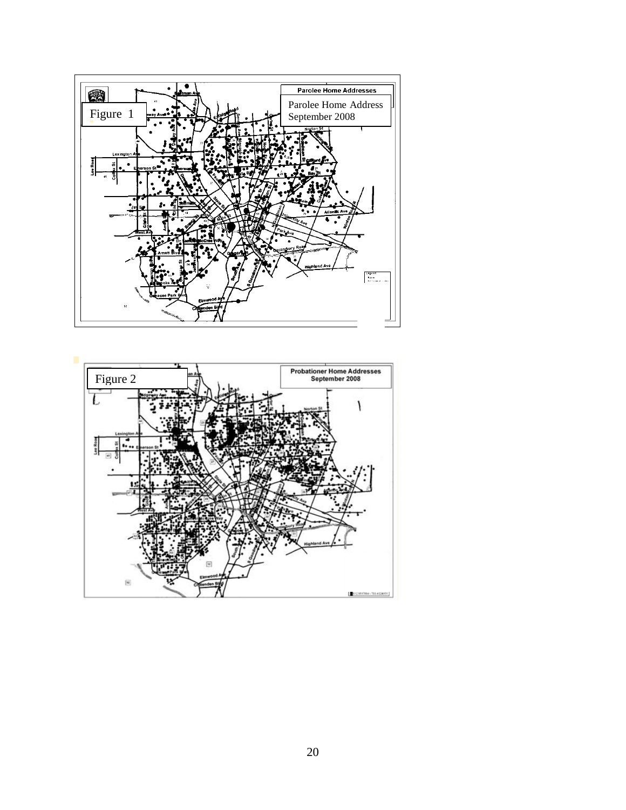

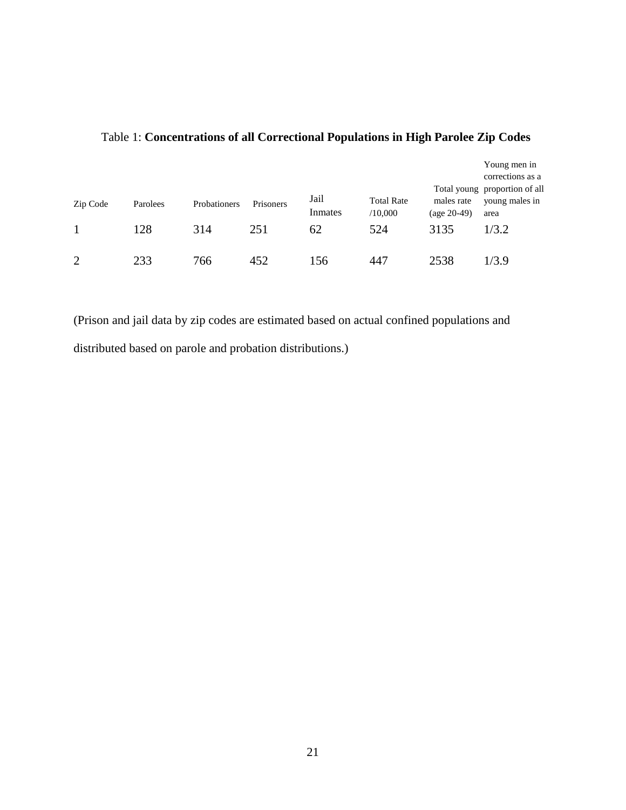| Zip Code       | Parolees | Probationers | Prisoners | Jail<br>Inmates | <b>Total Rate</b><br>/10,000 | males rate<br>$(age 20-49)$ | Young men in<br>corrections as a<br>Total young proportion of all<br>young males in<br>area |
|----------------|----------|--------------|-----------|-----------------|------------------------------|-----------------------------|---------------------------------------------------------------------------------------------|
|                | 128      | 314          | 251       | 62              | 524                          | 3135                        | 1/3.2                                                                                       |
| $\overline{2}$ | 233      | 766          | 452       | 156             | 447                          | 2538                        | 1/3.9                                                                                       |

# Table 1: **Concentrations of all Correctional Populations in High Parolee Zip Codes**

(Prison and jail data by zip codes are estimated based on actual confined populations and distributed based on parole and probation distributions.)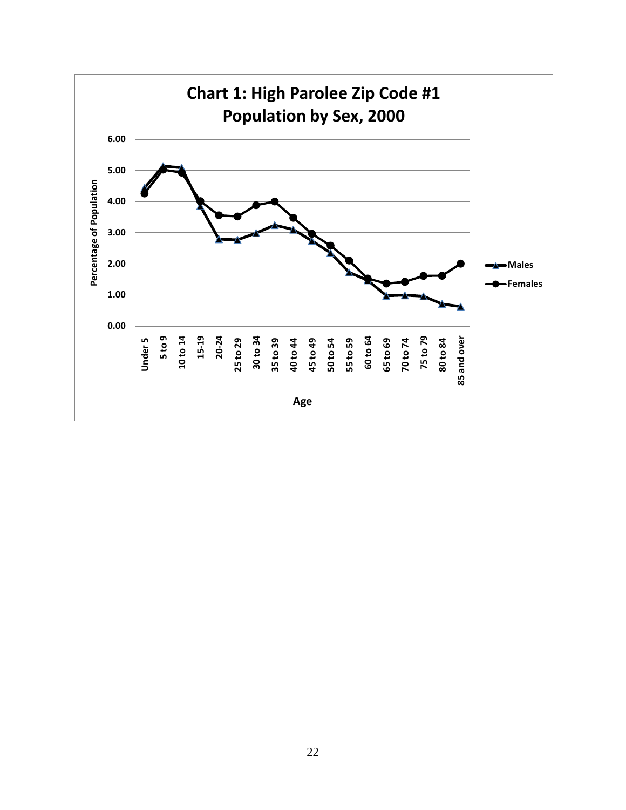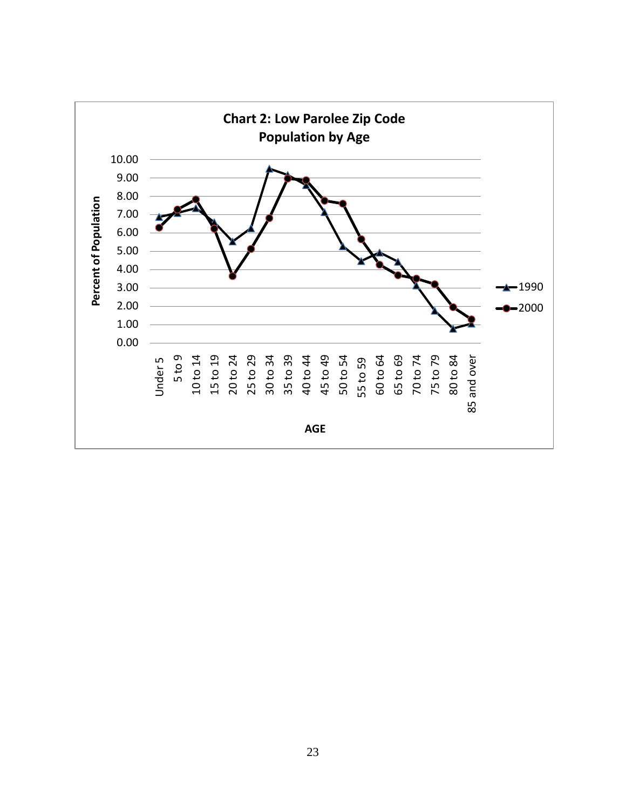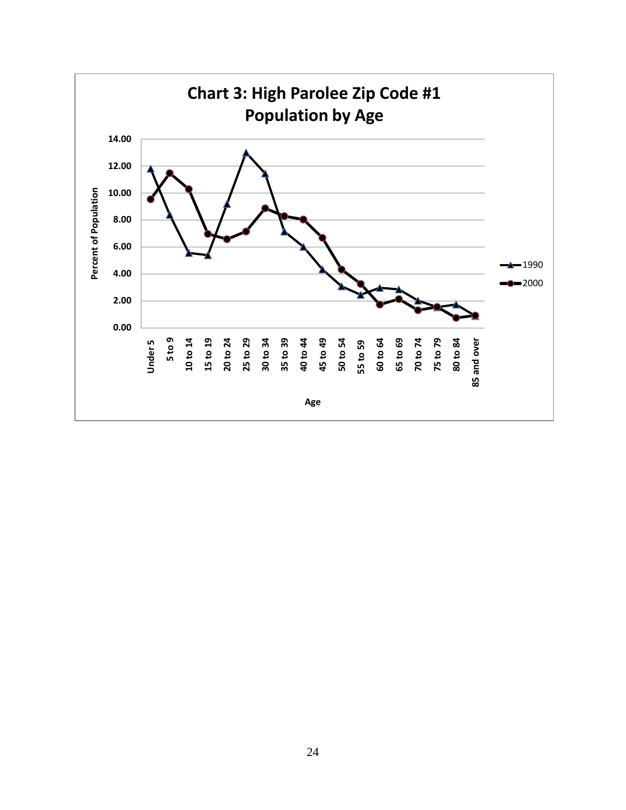